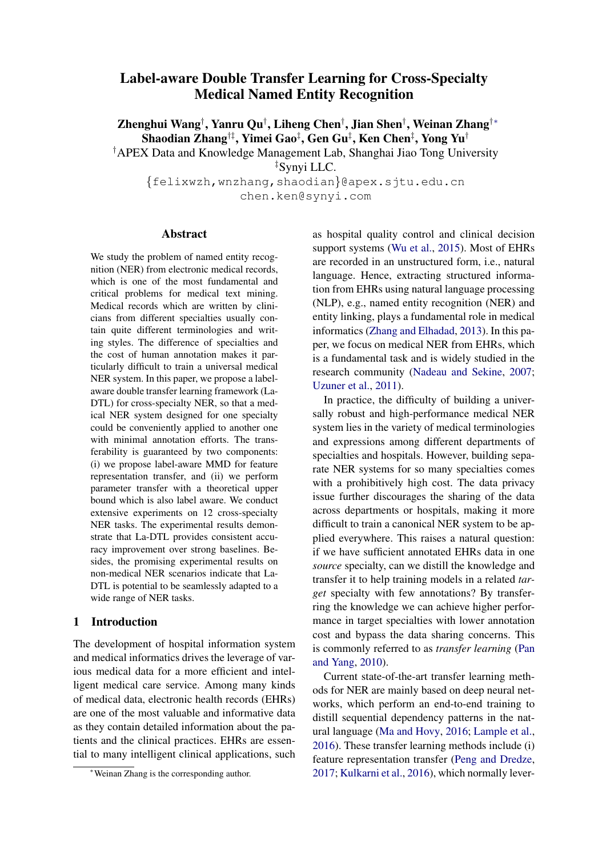## Label-aware Double Transfer Learning for Cross-Specialty Medical Named Entity Recognition

Zhenghui Wang† , Yanru Qu† , Liheng Chen† , Jian Shen† , Weinan Zhang†∗ Shaodian Zhang†‡, Yimei Gao‡, Gen Gu‡, Ken Chen‡, Yong Yu†

†APEX Data and Knowledge Management Lab, Shanghai Jiao Tong University

‡Synyi LLC.

{felixwzh,wnzhang,shaodian}@apex.sjtu.edu.cn chen.ken@synyi.com

## Abstract

We study the problem of named entity recognition (NER) from electronic medical records, which is one of the most fundamental and critical problems for medical text mining. Medical records which are written by clinicians from different specialties usually contain quite different terminologies and writing styles. The difference of specialties and the cost of human annotation makes it particularly difficult to train a universal medical NER system. In this paper, we propose a labelaware double transfer learning framework (La-DTL) for cross-specialty NER, so that a medical NER system designed for one specialty could be conveniently applied to another one with minimal annotation efforts. The transferability is guaranteed by two components: (i) we propose label-aware MMD for feature representation transfer, and (ii) we perform parameter transfer with a theoretical upper bound which is also label aware. We conduct extensive experiments on 12 cross-specialty NER tasks. The experimental results demonstrate that La-DTL provides consistent accuracy improvement over strong baselines. Besides, the promising experimental results on non-medical NER scenarios indicate that La-DTL is potential to be seamlessly adapted to a wide range of NER tasks.

## 1 Introduction

The development of hospital information system and medical informatics drives the leverage of various medical data for a more efficient and intelligent medical care service. Among many kinds of medical data, electronic health records (EHRs) are one of the most valuable and informative data as they contain detailed information about the patients and the clinical practices. EHRs are essential to many intelligent clinical applications, such as hospital quality control and clinical decision support systems [\(Wu et al.,](#page-10-0) [2015\)](#page-10-0). Most of EHRs are recorded in an unstructured form, i.e., natural language. Hence, extracting structured information from EHRs using natural language processing (NLP), e.g., named entity recognition (NER) and entity linking, plays a fundamental role in medical informatics [\(Zhang and Elhadad,](#page-10-1) [2013\)](#page-10-1). In this paper, we focus on medical NER from EHRs, which is a fundamental task and is widely studied in the research community [\(Nadeau and Sekine,](#page-10-2) [2007;](#page-10-2) [Uzuner et al.,](#page-10-3) [2011\)](#page-10-3).

In practice, the difficulty of building a universally robust and high-performance medical NER system lies in the variety of medical terminologies and expressions among different departments of specialties and hospitals. However, building separate NER systems for so many specialties comes with a prohibitively high cost. The data privacy issue further discourages the sharing of the data across departments or hospitals, making it more difficult to train a canonical NER system to be applied everywhere. This raises a natural question: if we have sufficient annotated EHRs data in one *source* specialty, can we distill the knowledge and transfer it to help training models in a related *target* specialty with few annotations? By transferring the knowledge we can achieve higher performance in target specialties with lower annotation cost and bypass the data sharing concerns. This is commonly referred to as *transfer learning* [\(Pan](#page-10-4) [and Yang,](#page-10-4) [2010\)](#page-10-4).

Current state-of-the-art transfer learning methods for NER are mainly based on deep neural networks, which perform an end-to-end training to distill sequential dependency patterns in the natural language [\(Ma and Hovy,](#page-9-0) [2016;](#page-9-0) [Lample et al.,](#page-9-1) [2016\)](#page-9-1). These transfer learning methods include (i) feature representation transfer [\(Peng and Dredze,](#page-10-5) [2017;](#page-10-5) [Kulkarni et al.,](#page-9-2) [2016\)](#page-9-2), which normally lever-

<sup>∗</sup>Weinan Zhang is the corresponding author.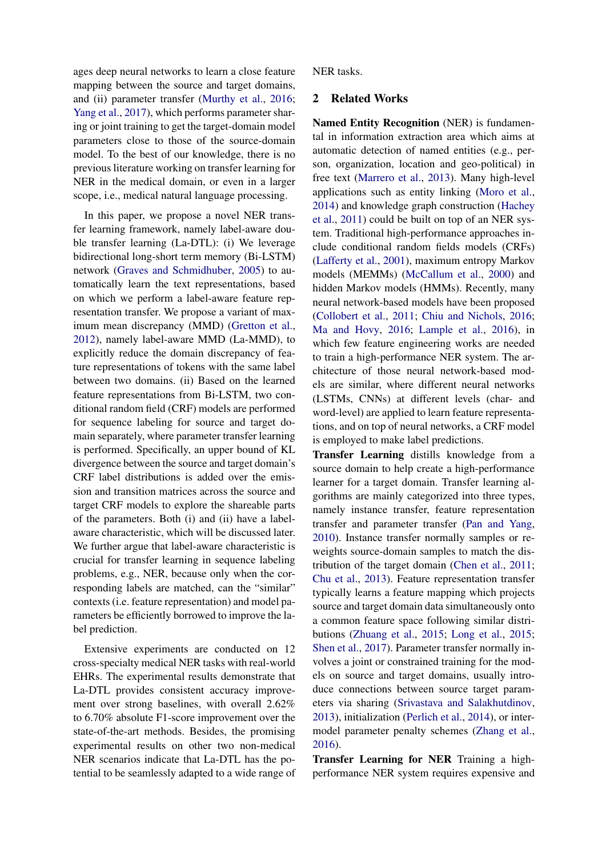ages deep neural networks to learn a close feature mapping between the source and target domains, and (ii) parameter transfer [\(Murthy et al.,](#page-10-6) [2016;](#page-10-6) [Yang et al.,](#page-10-7) [2017\)](#page-10-7), which performs parameter sharing or joint training to get the target-domain model parameters close to those of the source-domain model. To the best of our knowledge, there is no previous literature working on transfer learning for NER in the medical domain, or even in a larger scope, i.e., medical natural language processing.

In this paper, we propose a novel NER transfer learning framework, namely label-aware double transfer learning (La-DTL): (i) We leverage bidirectional long-short term memory (Bi-LSTM) network [\(Graves and Schmidhuber,](#page-9-3) [2005\)](#page-9-3) to automatically learn the text representations, based on which we perform a label-aware feature representation transfer. We propose a variant of maximum mean discrepancy (MMD) [\(Gretton et al.,](#page-9-4) [2012\)](#page-9-4), namely label-aware MMD (La-MMD), to explicitly reduce the domain discrepancy of feature representations of tokens with the same label between two domains. (ii) Based on the learned feature representations from Bi-LSTM, two conditional random field (CRF) models are performed for sequence labeling for source and target domain separately, where parameter transfer learning is performed. Specifically, an upper bound of KL divergence between the source and target domain's CRF label distributions is added over the emission and transition matrices across the source and target CRF models to explore the shareable parts of the parameters. Both (i) and (ii) have a labelaware characteristic, which will be discussed later. We further argue that label-aware characteristic is crucial for transfer learning in sequence labeling problems, e.g., NER, because only when the corresponding labels are matched, can the "similar" contexts (i.e. feature representation) and model parameters be efficiently borrowed to improve the label prediction.

Extensive experiments are conducted on 12 cross-specialty medical NER tasks with real-world EHRs. The experimental results demonstrate that La-DTL provides consistent accuracy improvement over strong baselines, with overall 2.62% to 6.70% absolute F1-score improvement over the state-of-the-art methods. Besides, the promising experimental results on other two non-medical NER scenarios indicate that La-DTL has the potential to be seamlessly adapted to a wide range of NER tasks.

## 2 Related Works

Named Entity Recognition (NER) is fundamental in information extraction area which aims at automatic detection of named entities (e.g., person, organization, location and geo-political) in free text [\(Marrero et al.,](#page-9-5) [2013\)](#page-9-5). Many high-level applications such as entity linking [\(Moro et al.,](#page-9-6) [2014\)](#page-9-6) and knowledge graph construction [\(Hachey](#page-9-7) [et al.,](#page-9-7) [2011\)](#page-9-7) could be built on top of an NER system. Traditional high-performance approaches include conditional random fields models (CRFs) [\(Lafferty et al.,](#page-9-8) [2001\)](#page-9-8), maximum entropy Markov models (MEMMs) [\(McCallum et al.,](#page-9-9) [2000\)](#page-9-9) and hidden Markov models (HMMs). Recently, many neural network-based models have been proposed [\(Collobert et al.,](#page-9-10) [2011;](#page-9-10) [Chiu and Nichols,](#page-9-11) [2016;](#page-9-11) [Ma and Hovy,](#page-9-0) [2016;](#page-9-0) [Lample et al.,](#page-9-1) [2016\)](#page-9-1), in which few feature engineering works are needed to train a high-performance NER system. The architecture of those neural network-based models are similar, where different neural networks (LSTMs, CNNs) at different levels (char- and word-level) are applied to learn feature representations, and on top of neural networks, a CRF model is employed to make label predictions.

Transfer Learning distills knowledge from a source domain to help create a high-performance learner for a target domain. Transfer learning algorithms are mainly categorized into three types, namely instance transfer, feature representation transfer and parameter transfer [\(Pan and Yang,](#page-10-4) [2010\)](#page-10-4). Instance transfer normally samples or reweights source-domain samples to match the distribution of the target domain [\(Chen et al.,](#page-8-0) [2011;](#page-8-0) [Chu et al.,](#page-9-12) [2013\)](#page-9-12). Feature representation transfer typically learns a feature mapping which projects source and target domain data simultaneously onto a common feature space following similar distributions [\(Zhuang et al.,](#page-10-8) [2015;](#page-10-8) [Long et al.,](#page-9-13) [2015;](#page-9-13) [Shen et al.,](#page-10-9) [2017\)](#page-10-9). Parameter transfer normally involves a joint or constrained training for the models on source and target domains, usually introduce connections between source target parameters via sharing [\(Srivastava and Salakhutdinov,](#page-10-10) [2013\)](#page-10-10), initialization [\(Perlich et al.,](#page-10-11) [2014\)](#page-10-11), or intermodel parameter penalty schemes [\(Zhang et al.,](#page-10-12) [2016\)](#page-10-12).

Transfer Learning for NER Training a highperformance NER system requires expensive and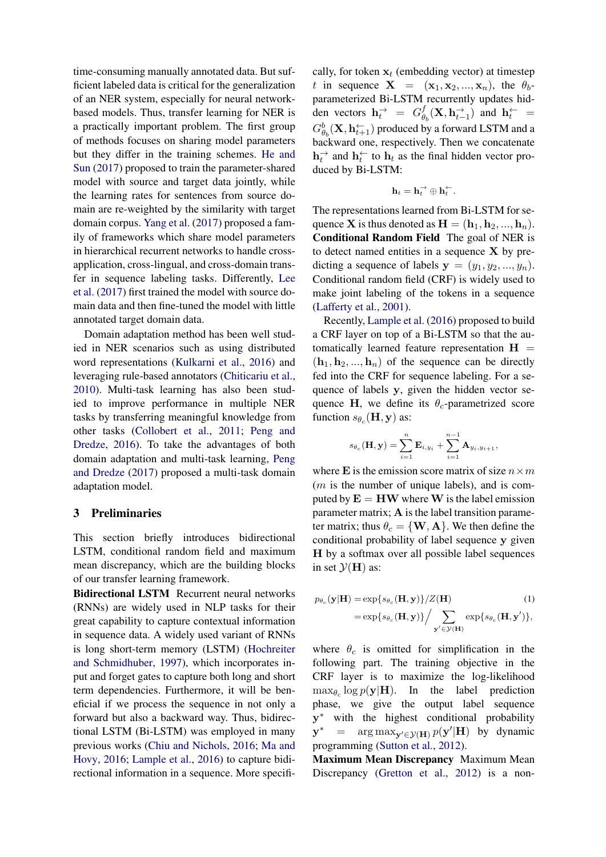time-consuming manually annotated data. But sufficient labeled data is critical for the generalization of an NER system, especially for neural networkbased models. Thus, transfer learning for NER is a practically important problem. The first group of methods focuses on sharing model parameters but they differ in the training schemes. [He and](#page-9-14) [Sun](#page-9-14) [\(2017\)](#page-9-14) proposed to train the parameter-shared model with source and target data jointly, while the learning rates for sentences from source domain are re-weighted by the similarity with target domain corpus. [Yang et al.](#page-10-7) [\(2017\)](#page-10-7) proposed a family of frameworks which share model parameters in hierarchical recurrent networks to handle crossapplication, cross-lingual, and cross-domain transfer in sequence labeling tasks. Differently, [Lee](#page-9-15) [et al.](#page-9-15) [\(2017\)](#page-9-15) first trained the model with source domain data and then fine-tuned the model with little annotated target domain data.

Domain adaptation method has been well studied in NER scenarios such as using distributed word representations [\(Kulkarni et al.,](#page-9-2) [2016\)](#page-9-2) and leveraging rule-based annotators [\(Chiticariu et al.,](#page-8-1) [2010\)](#page-8-1). Multi-task learning has also been studied to improve performance in multiple NER tasks by transferring meaningful knowledge from other tasks [\(Collobert et al.,](#page-9-10) [2011;](#page-9-10) [Peng and](#page-10-13) [Dredze,](#page-10-13) [2016\)](#page-10-13). To take the advantages of both domain adaptation and multi-task learning, [Peng](#page-10-5) [and Dredze](#page-10-5) [\(2017\)](#page-10-5) proposed a multi-task domain adaptation model.

### 3 Preliminaries

This section briefly introduces bidirectional LSTM, conditional random field and maximum mean discrepancy, which are the building blocks of our transfer learning framework.

Bidirectional LSTM Recurrent neural networks (RNNs) are widely used in NLP tasks for their great capability to capture contextual information in sequence data. A widely used variant of RNNs is long short-term memory (LSTM) [\(Hochreiter](#page-9-16) [and Schmidhuber,](#page-9-16) [1997\)](#page-9-16), which incorporates input and forget gates to capture both long and short term dependencies. Furthermore, it will be beneficial if we process the sequence in not only a forward but also a backward way. Thus, bidirectional LSTM (Bi-LSTM) was employed in many previous works [\(Chiu and Nichols,](#page-9-11) [2016;](#page-9-11) [Ma and](#page-9-0) [Hovy,](#page-9-0) [2016;](#page-9-0) [Lample et al.,](#page-9-1) [2016\)](#page-9-1) to capture bidirectional information in a sequence. More specifically, for token  $x_t$  (embedding vector) at timestep t in sequence  $X = (x_1, x_2, ..., x_n)$ , the  $\theta_b$ parameterized Bi-LSTM recurrently updates hidden vectors  $\mathbf{h}_t^{\rightarrow} = G_{\theta}^f$  $\frac{d}{dt}(\mathbf{X}, \mathbf{h}_{t-1}^{\rightarrow})$  and  $\mathbf{h}_{t}^{\leftarrow}$  =  $G_{\theta_b}^b(\mathbf{X}, \mathbf{h}_{t+1}^{\leftarrow})$  produced by a forward LSTM and a backward one, respectively. Then we concatenate  $\mathbf{h}_t^{\rightharpoonup}$  and  $\mathbf{h}_t^{\rightharpoonup}$  to  $\mathbf{h}_t$  as the final hidden vector produced by Bi-LSTM:

$$
\mathbf{h}_t = \mathbf{h}_t^{\rightarrow} \oplus \mathbf{h}_t^{\leftarrow}.
$$

<span id="page-2-0"></span>The representations learned from Bi-LSTM for sequence **X** is thus denoted as  $\mathbf{H} = (\mathbf{h}_1, \mathbf{h}_2, ..., \mathbf{h}_n)$ . Conditional Random Field The goal of NER is to detect named entities in a sequence  $X$  by predicting a sequence of labels  $y = (y_1, y_2, ..., y_n)$ . Conditional random field (CRF) is widely used to make joint labeling of the tokens in a sequence [\(Lafferty et al.,](#page-9-8) [2001\)](#page-9-8).

Recently, [Lample et al.](#page-9-1) [\(2016\)](#page-9-1) proposed to build a CRF layer on top of a Bi-LSTM so that the automatically learned feature representation  $H =$  $(h_1, h_2, ..., h_n)$  of the sequence can be directly fed into the CRF for sequence labeling. For a sequence of labels y, given the hidden vector sequence H, we define its  $\theta_c$ -parametrized score function  $s_{\theta_c}(\mathbf{H}, \mathbf{y})$  as:

$$
s_{\theta_c}(\mathbf{H}, \mathbf{y}) = \sum_{i=1}^n \mathbf{E}_{i, y_i} + \sum_{i=1}^{n-1} \mathbf{A}_{y_i, y_{i+1}},
$$

where E is the emission score matrix of size  $n \times m$  $(m)$  is the number of unique labels), and is computed by  $E = HW$  where W is the label emission parameter matrix;  $A$  is the label transition parameter matrix; thus  $\theta_c = \{ \mathbf{W}, \mathbf{A} \}$ . We then define the conditional probability of label sequence y given H by a softmax over all possible label sequences in set  $\mathcal{Y}(\mathbf{H})$  as:

$$
p_{\theta_c}(\mathbf{y}|\mathbf{H}) = \exp\{s_{\theta_c}(\mathbf{H}, \mathbf{y})\}/Z(\mathbf{H})
$$
(1)  
= 
$$
\exp\{s_{\theta_c}(\mathbf{H}, \mathbf{y})\}/\sum_{\mathbf{y}' \in \mathcal{Y}(\mathbf{H})} \exp\{s_{\theta_c}(\mathbf{H}, \mathbf{y}')\},
$$

where  $\theta_c$  is omitted for simplification in the following part. The training objective in the CRF layer is to maximize the log-likelihood  $\max_{\theta_c} \log p(\mathbf{y}|\mathbf{H})$ . In the label prediction phase, we give the output label sequence y <sup>∗</sup> with the highest conditional probability  $\mathbf{y}^* = \arg \max_{\mathbf{y}' \in \mathcal{Y}(\mathbf{H})} p(\mathbf{y}'|\mathbf{H})$  by dynamic programming [\(Sutton et al.,](#page-10-14) [2012\)](#page-10-14).

Maximum Mean Discrepancy Maximum Mean Discrepancy [\(Gretton et al.,](#page-9-4) [2012\)](#page-9-4) is a non-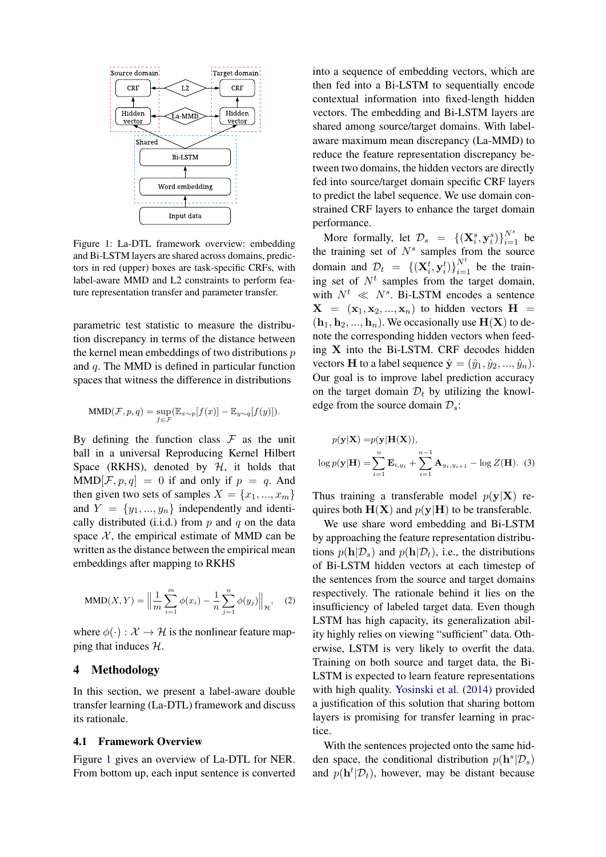

<span id="page-3-0"></span>Figure 1: La-DTL framework overview: embedding and Bi-LSTM layers are shared across domains, predictors in red (upper) boxes are task-specific CRFs, with label-aware MMD and L2 constraints to perform feature representation transfer and parameter transfer.

parametric test statistic to measure the distribution discrepancy in terms of the distance between the kernel mean embeddings of two distributions  $p$ and q. The MMD is defined in particular function spaces that witness the difference in distributions

<span id="page-3-1"></span>
$$
\text{MMD}(\mathcal{F}, p, q) = \sup_{f \in \mathcal{F}} (\mathbb{E}_{x \sim p}[f(x)] - \mathbb{E}_{y \sim q}[f(y)]).
$$

By defining the function class  $\mathcal F$  as the unit ball in a universal Reproducing Kernel Hilbert Space (RKHS), denoted by  $H$ , it holds that  $MMD[\mathcal{F}, p, q] = 0$  if and only if  $p = q$ . And then given two sets of samples  $X = \{x_1, ..., x_m\}$ and  $Y = \{y_1, ..., y_n\}$  independently and identically distributed (i.i.d.) from  $p$  and  $q$  on the data space  $X$ , the empirical estimate of MMD can be written as the distance between the empirical mean embeddings after mapping to RKHS

MMD(X, Y) = 
$$
\left\| \frac{1}{m} \sum_{i=1}^{m} \phi(x_i) - \frac{1}{n} \sum_{j=1}^{n} \phi(y_j) \right\|_{\mathcal{H}},
$$
 (2)

where  $\phi(\cdot): \mathcal{X} \to \mathcal{H}$  is the nonlinear feature mapping that induces H.

### 4 Methodology

In this section, we present a label-aware double transfer learning (La-DTL) framework and discuss its rationale.

## <span id="page-3-3"></span>4.1 Framework Overview

Figure [1](#page-3-0) gives an overview of La-DTL for NER. From bottom up, each input sentence is converted

into a sequence of embedding vectors, which are then fed into a Bi-LSTM to sequentially encode contextual information into fixed-length hidden vectors. The embedding and Bi-LSTM layers are shared among source/target domains. With labelaware maximum mean discrepancy (La-MMD) to reduce the feature representation discrepancy between two domains, the hidden vectors are directly fed into source/target domain specific CRF layers to predict the label sequence. We use domain constrained CRF layers to enhance the target domain performance.

More formally, let  $\mathcal{D}_s = \{(\mathbf{X}_i^s, \mathbf{y}_i^s)\}_{i=1}^{N^s}$  be the training set of  $N<sup>s</sup>$  samples from the source domain and  $\mathcal{D}_t = \{ (\mathbf{X}_i^t, \mathbf{y}_i^t) \}_{i=1}^{N^t}$  be the training set of  $N<sup>t</sup>$  samples from the target domain, with  $N^t \ll N^s$ . Bi-LSTM encodes a sentence  $X = (x_1, x_2, ..., x_n)$  to hidden vectors  $H =$  $(h_1, h_2, ..., h_n)$ . We occasionally use  $H(X)$  to denote the corresponding hidden vectors when feeding X into the Bi-LSTM. CRF decodes hidden vectors **H** to a label sequence  $\hat{\mathbf{y}} = (\hat{y}_1, \hat{y}_2, ..., \hat{y}_n)$ . Our goal is to improve label prediction accuracy on the target domain  $\mathcal{D}_t$  by utilizing the knowledge from the source domain  $\mathcal{D}_s$ :

<span id="page-3-2"></span>
$$
p(\mathbf{y}|\mathbf{X}) = p(\mathbf{y}|\mathbf{H}(\mathbf{X})),
$$
  

$$
\log p(\mathbf{y}|\mathbf{H}) = \sum_{i=1}^{n} \mathbf{E}_{i,y_i} + \sum_{i=1}^{n-1} \mathbf{A}_{y_i,y_{i+1}} - \log Z(\mathbf{H}).
$$
 (3)

Thus training a transferable model  $p(y|X)$  requires both  $H(X)$  and  $p(y|H)$  to be transferable.

We use share word embedding and Bi-LSTM by approaching the feature representation distributions  $p(\mathbf{h}|\mathcal{D}_s)$  and  $p(\mathbf{h}|\mathcal{D}_t)$ , i.e., the distributions of Bi-LSTM hidden vectors at each timestep of the sentences from the source and target domains respectively. The rationale behind it lies on the insufficiency of labeled target data. Even though LSTM has high capacity, its generalization ability highly relies on viewing "sufficient" data. Otherwise, LSTM is very likely to overfit the data. Training on both source and target data, the Bi-LSTM is expected to learn feature representations with high quality. [Yosinski et al.](#page-10-15) [\(2014\)](#page-10-15) provided a justification of this solution that sharing bottom layers is promising for transfer learning in practice.

With the sentences projected onto the same hidden space, the conditional distribution  $p(\mathbf{h}^s | \mathcal{D}_s)$ and  $p(\mathbf{h}^t | \mathcal{D}_t)$ , however, may be distant because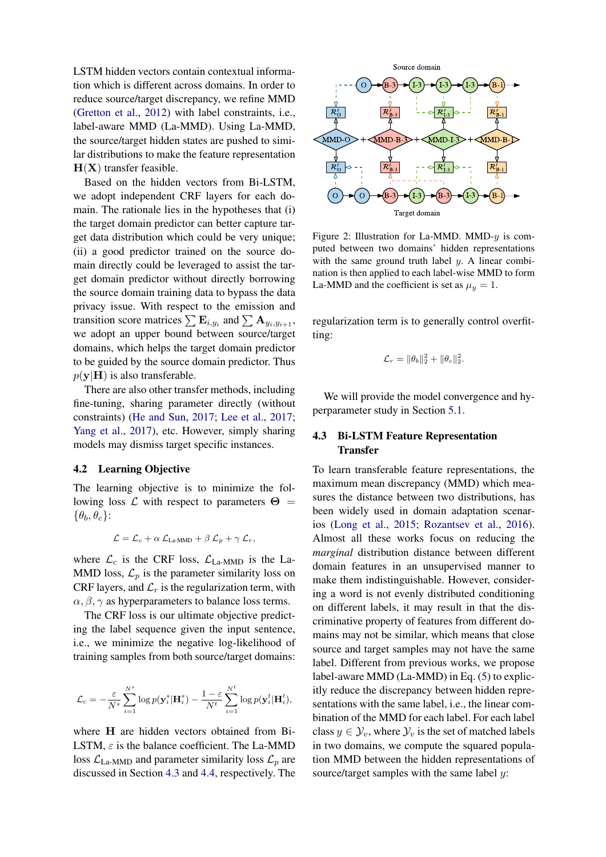LSTM hidden vectors contain contextual information which is different across domains. In order to reduce source/target discrepancy, we refine MMD [\(Gretton et al.,](#page-9-4) [2012\)](#page-9-4) with label constraints, i.e., label-aware MMD (La-MMD). Using La-MMD, the source/target hidden states are pushed to similar distributions to make the feature representation  $H(X)$  transfer feasible.

Based on the hidden vectors from Bi-LSTM, we adopt independent CRF layers for each domain. The rationale lies in the hypotheses that (i) the target domain predictor can better capture target data distribution which could be very unique; (ii) a good predictor trained on the source domain directly could be leveraged to assist the target domain predictor without directly borrowing the source domain training data to bypass the data privacy issue. With respect to the emission and transition score matrices  $\sum \mathbf{E}_{i,y_i}$  and  $\sum \mathbf{A}_{y_i,y_{i+1}}$ , we adopt an upper bound between source/target domains, which helps the target domain predictor to be guided by the source domain predictor. Thus  $p(y|H)$  is also transferable.

There are also other transfer methods, including fine-tuning, sharing parameter directly (without constraints) [\(He and Sun,](#page-9-14) [2017;](#page-9-14) [Lee et al.,](#page-9-15) [2017;](#page-9-15) [Yang et al.,](#page-10-7) [2017\)](#page-10-7), etc. However, simply sharing models may dismiss target specific instances.

## 4.2 Learning Objective

The learning objective is to minimize the following loss  $\mathcal L$  with respect to parameters  $\Theta =$  $\{\theta_b, \theta_c\}$ :

$$
\mathcal{L} = \mathcal{L}_c + \alpha \mathcal{L}_{\text{La-MMD}} + \beta \mathcal{L}_p + \gamma \mathcal{L}_r,
$$

<span id="page-4-1"></span>where  $\mathcal{L}_c$  is the CRF loss,  $\mathcal{L}_{\text{La-MMD}}$  is the La-MMD loss,  $\mathcal{L}_p$  is the parameter similarity loss on CRF layers, and  $\mathcal{L}_r$  is the regularization term, with  $\alpha$ ,  $\beta$ ,  $\gamma$  as hyperparameters to balance loss terms.

The CRF loss is our ultimate objective predicting the label sequence given the input sentence, i.e., we minimize the negative log-likelihood of training samples from both source/target domains:

$$
\mathcal{L}_c = -\frac{\varepsilon}{N^s} \sum_{i=1}^{N^s} \log p(\mathbf{y}_i^s | \mathbf{H}_i^s) - \frac{1-\varepsilon}{N^t} \sum_{i=1}^{N^t} \log p(\mathbf{y}_i^t | \mathbf{H}_i^t),
$$

where H are hidden vectors obtained from Bi-LSTM,  $\varepsilon$  is the balance coefficient. The La-MMD loss  $\mathcal{L}_{\text{La-MMD}}$  and parameter similarity loss  $\mathcal{L}_p$  are discussed in Section [4.3](#page-4-0) and [4.4,](#page-5-0) respectively. The



<span id="page-4-2"></span>Figure 2: Illustration for La-MMD. MMD- $y$  is computed between two domains' hidden representations with the same ground truth label  $y$ . A linear combination is then applied to each label-wise MMD to form La-MMD and the coefficient is set as  $\mu_y = 1$ .

regularization term is to generally control overfitting:

$$
\mathcal{L}_r = \|\theta_b\|_2^2 + \|\theta_c\|_2^2.
$$

We will provide the model convergence and hyperparameter study in Section [5.1.](#page-6-0)

## <span id="page-4-0"></span>4.3 Bi-LSTM Feature Representation **Transfer**

To learn transferable feature representations, the maximum mean discrepancy (MMD) which measures the distance between two distributions, has been widely used in domain adaptation scenarios [\(Long et al.,](#page-9-13) [2015;](#page-9-13) [Rozantsev et al.,](#page-10-16) [2016\)](#page-10-16). Almost all these works focus on reducing the *marginal* distribution distance between different domain features in an unsupervised manner to make them indistinguishable. However, considering a word is not evenly distributed conditioning on different labels, it may result in that the discriminative property of features from different domains may not be similar, which means that close source and target samples may not have the same label. Different from previous works, we propose label-aware MMD (La-MMD) in Eq. [\(5\)](#page-5-1) to explicitly reduce the discrepancy between hidden representations with the same label, i.e., the linear combination of the MMD for each label. For each label class  $y \in Y_v$ , where  $Y_v$  is the set of matched labels in two domains, we compute the squared population MMD between the hidden representations of source/target samples with the same label  $y$ :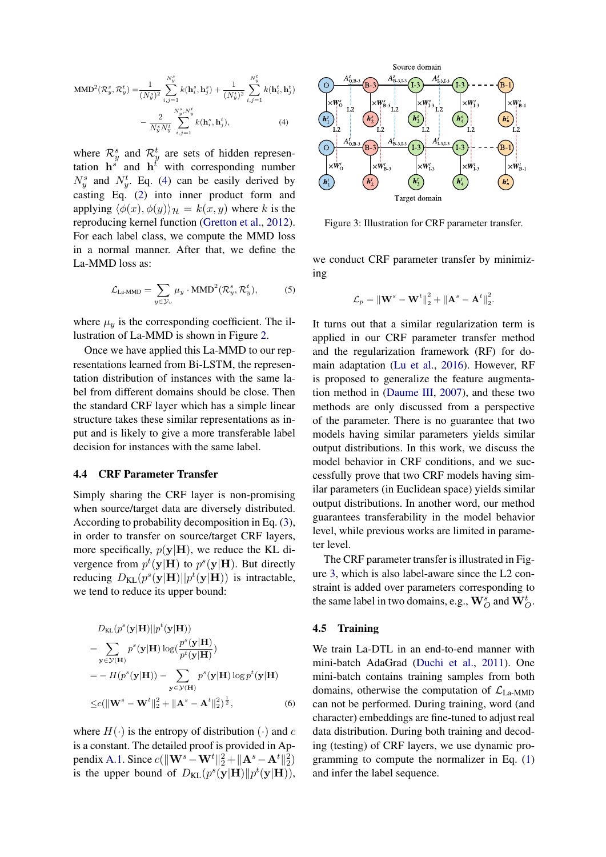MMD<sup>2</sup>(
$$
\mathcal{R}_y^s, \mathcal{R}_y^t
$$
) =  $\frac{1}{(N_y^s)^2} \sum_{i,j=1}^{N_y^s} k(\mathbf{h}_i^s, \mathbf{h}_j^s) + \frac{1}{(N_y^t)^2} \sum_{i,j=1}^{N_y^t} k(\mathbf{h}_i^t, \mathbf{h}_j^t)$   
-  $\frac{2}{N_y^s N_y^t} \sum_{i,j=1}^{N_y^s, N_y^t} k(\mathbf{h}_i^s, \mathbf{h}_j^t),$  (4)

where  $\mathcal{R}_y^s$  and  $\mathcal{R}_y^t$  are sets of hidden representation  $h^s$  and  $h^{\dagger}$  with corresponding number  $N_y^s$  and  $N_y^t$ . Eq. [\(4\)](#page-4-1) can be easily derived by casting Eq. [\(2\)](#page-3-1) into inner product form and applying  $\langle \phi(x), \phi(y) \rangle_{\mathcal{H}} = k(x, y)$  where k is the reproducing kernel function [\(Gretton et al.,](#page-9-4) [2012\)](#page-9-4). For each label class, we compute the MMD loss in a normal manner. After that, we define the La-MMD loss as:

<span id="page-5-1"></span>
$$
\mathcal{L}_{\text{La-MMD}} = \sum_{y \in \mathcal{Y}_v} \mu_y \cdot \text{MMD}^2(\mathcal{R}_y^s, \mathcal{R}_y^t), \tag{5}
$$

where  $\mu_y$  is the corresponding coefficient. The illustration of La-MMD is shown in Figure [2.](#page-4-2)

Once we have applied this La-MMD to our representations learned from Bi-LSTM, the representation distribution of instances with the same label from different domains should be close. Then the standard CRF layer which has a simple linear structure takes these similar representations as input and is likely to give a more transferable label decision for instances with the same label.

#### <span id="page-5-0"></span>4.4 CRF Parameter Transfer

Simply sharing the CRF layer is non-promising when source/target data are diversely distributed. According to probability decomposition in Eq. [\(3\)](#page-3-2), in order to transfer on source/target CRF layers, more specifically,  $p(y|H)$ , we reduce the KL divergence from  $p^t(\mathbf{y}|\mathbf{H})$  to  $p^s(\mathbf{y}|\mathbf{H})$ . But directly reducing  $D_{\text{KL}}(p^s(\mathbf{y}|\mathbf{H})||p^t(\mathbf{y}|\mathbf{H}))$  is intractable, we tend to reduce its upper bound:

$$
D_{\text{KL}}(p^{s}(\mathbf{y}|\mathbf{H})||p^{t}(\mathbf{y}|\mathbf{H}))
$$
  
= 
$$
\sum_{\mathbf{y} \in \mathcal{Y}(\mathbf{H})} p^{s}(\mathbf{y}|\mathbf{H}) \log(\frac{p^{s}(\mathbf{y}|\mathbf{H})}{p^{t}(\mathbf{y}|\mathbf{H})})
$$
  
= 
$$
- H(p^{s}(\mathbf{y}|\mathbf{H})) - \sum_{\mathbf{y} \in \mathcal{Y}(\mathbf{H})} p^{s}(\mathbf{y}|\mathbf{H}) \log p^{t}(\mathbf{y}|\mathbf{H})
$$
  

$$
\leq c(||\mathbf{W}^{s} - \mathbf{W}^{t}||_{2}^{2} + ||\mathbf{A}^{s} - \mathbf{A}^{t}||_{2}^{2})^{\frac{1}{2}},
$$
 (6)

where  $H(\cdot)$  is the entropy of distribution  $(\cdot)$  and c is a constant. The detailed proof is provided in Ap-pendix [A.1.](#page-11-0) Since  $c(||\mathbf{W}^s - \mathbf{W}^t||_2^2 + ||\mathbf{A}^s - \mathbf{A}^t||_2^2)$ is the upper bound of  $D_{KL}(p^{s}(\mathbf{y}|\mathbf{H})||p^{t}(\mathbf{y}|\mathbf{H})),$ 



<span id="page-5-2"></span>Figure 3: Illustration for CRF parameter transfer.

we conduct CRF parameter transfer by minimizing

$$
\mathcal{L}_p = \left\|\mathbf{W}^s - \mathbf{W}^t\right\|_2^2 + \left\|\mathbf{A}^s - \mathbf{A}^t\right\|_2^2.
$$

It turns out that a similar regularization term is applied in our CRF parameter transfer method and the regularization framework (RF) for domain adaptation [\(Lu et al.,](#page-9-17) [2016\)](#page-9-17). However, RF is proposed to generalize the feature augmentation method in [\(Daume III,](#page-9-18) [2007\)](#page-9-18), and these two methods are only discussed from a perspective of the parameter. There is no guarantee that two models having similar parameters yields similar output distributions. In this work, we discuss the model behavior in CRF conditions, and we successfully prove that two CRF models having similar parameters (in Euclidean space) yields similar output distributions. In another word, our method guarantees transferability in the model behavior level, while previous works are limited in parameter level.

The CRF parameter transfer is illustrated in Figure [3,](#page-5-2) which is also label-aware since the L2 constraint is added over parameters corresponding to the same label in two domains, e.g.,  $\mathbf{W}_{O}^{s}$  and  $\mathbf{W}_{O}^{t}$ .

## 4.5 Training

<span id="page-5-3"></span>We train La-DTL in an end-to-end manner with mini-batch AdaGrad [\(Duchi et al.,](#page-9-19) [2011\)](#page-9-19). One mini-batch contains training samples from both domains, otherwise the computation of  $\mathcal{L}_{\text{La-MMD}}$ can not be performed. During training, word (and character) embeddings are fine-tuned to adjust real data distribution. During both training and decoding (testing) of CRF layers, we use dynamic programming to compute the normalizer in Eq. [\(1\)](#page-2-0) and infer the label sequence.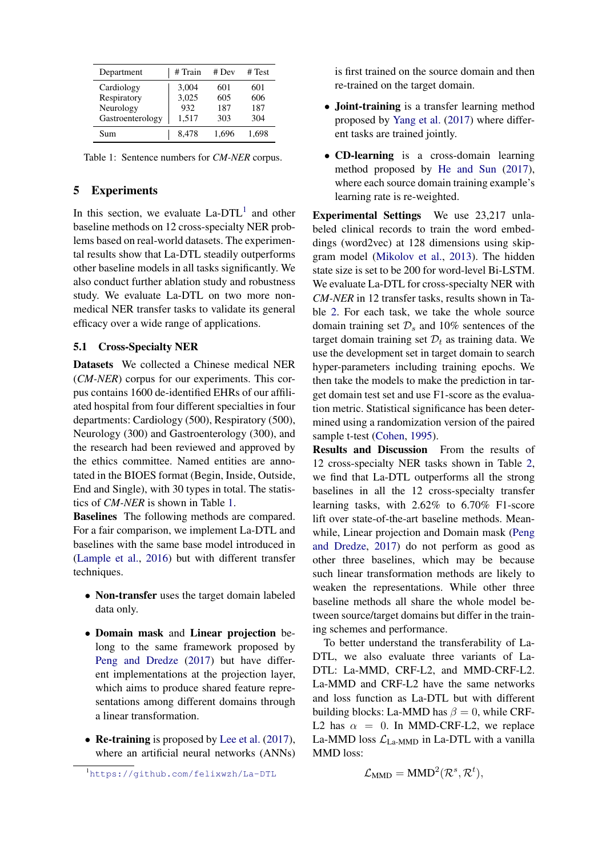| Department       | # Train | # Dev | # Test |
|------------------|---------|-------|--------|
| Cardiology       | 3,004   | 601   | 601    |
| Respiratory      | 3,025   | 605   | 606    |
| Neurology        | 932     | 187   | 187    |
| Gastroenterology | 1,517   | 303   | 304    |
| Sum              | 8.478   | 1.696 | 1.698  |

<span id="page-6-2"></span>Table 1: Sentence numbers for *CM-NER* corpus.

## 5 Experiments

In this section, we evaluate  $La-DTL<sup>1</sup>$  $La-DTL<sup>1</sup>$  $La-DTL<sup>1</sup>$  and other baseline methods on 12 cross-specialty NER problems based on real-world datasets. The experimental results show that La-DTL steadily outperforms other baseline models in all tasks significantly. We also conduct further ablation study and robustness study. We evaluate La-DTL on two more nonmedical NER transfer tasks to validate its general efficacy over a wide range of applications.

## <span id="page-6-0"></span>5.1 Cross-Specialty NER

Datasets We collected a Chinese medical NER (*CM-NER*) corpus for our experiments. This corpus contains 1600 de-identified EHRs of our affiliated hospital from four different specialties in four departments: Cardiology (500), Respiratory (500), Neurology (300) and Gastroenterology (300), and the research had been reviewed and approved by the ethics committee. Named entities are annotated in the BIOES format (Begin, Inside, Outside, End and Single), with 30 types in total. The statistics of *CM-NER* is shown in Table [1.](#page-6-2)

Baselines The following methods are compared. For a fair comparison, we implement La-DTL and baselines with the same base model introduced in [\(Lample et al.,](#page-9-1) [2016\)](#page-9-1) but with different transfer techniques.

- Non-transfer uses the target domain labeled data only.
- Domain mask and Linear projection belong to the same framework proposed by [Peng and Dredze](#page-10-5) [\(2017\)](#page-10-5) but have different implementations at the projection layer, which aims to produce shared feature representations among different domains through a linear transformation.
- Re-training is proposed by [Lee et al.](#page-9-15) [\(2017\)](#page-9-15), where an artificial neural networks (ANNs)

is first trained on the source domain and then re-trained on the target domain.

- Joint-training is a transfer learning method proposed by [Yang et al.](#page-10-7) [\(2017\)](#page-10-7) where different tasks are trained jointly.
- CD-learning is a cross-domain learning method proposed by [He and Sun](#page-9-14) [\(2017\)](#page-9-14), where each source domain training example's learning rate is re-weighted.

Experimental Settings We use 23,217 unlabeled clinical records to train the word embeddings (word2vec) at 128 dimensions using skipgram model [\(Mikolov et al.,](#page-9-20) [2013\)](#page-9-20). The hidden state size is set to be 200 for word-level Bi-LSTM. We evaluate La-DTL for cross-specialty NER with *CM-NER* in 12 transfer tasks, results shown in Table [2.](#page-7-0) For each task, we take the whole source domain training set  $\mathcal{D}_s$  and 10% sentences of the target domain training set  $\mathcal{D}_t$  as training data. We use the development set in target domain to search hyper-parameters including training epochs. We then take the models to make the prediction in target domain test set and use F1-score as the evaluation metric. Statistical significance has been determined using a randomization version of the paired sample t-test [\(Cohen,](#page-9-21) [1995\)](#page-9-21).

Results and Discussion From the results of 12 cross-specialty NER tasks shown in Table [2,](#page-7-0) we find that La-DTL outperforms all the strong baselines in all the 12 cross-specialty transfer learning tasks, with 2.62% to 6.70% F1-score lift over state-of-the-art baseline methods. Meanwhile, Linear projection and Domain mask [\(Peng](#page-10-5) [and Dredze,](#page-10-5) [2017\)](#page-10-5) do not perform as good as other three baselines, which may be because such linear transformation methods are likely to weaken the representations. While other three baseline methods all share the whole model between source/target domains but differ in the training schemes and performance.

To better understand the transferability of La-DTL, we also evaluate three variants of La-DTL: La-MMD, CRF-L2, and MMD-CRF-L2. La-MMD and CRF-L2 have the same networks and loss function as La-DTL but with different building blocks: La-MMD has  $\beta = 0$ , while CRF-L2 has  $\alpha = 0$ . In MMD-CRF-L2, we replace La-MMD loss  $\mathcal{L}_{\text{La-MMD}}$  in La-DTL with a vanilla MMD loss:

$$
\mathcal{L}_{MMD} = MMD^2(\mathcal{R}^s, \mathcal{R}^t),
$$

<span id="page-6-1"></span><sup>1</sup><https://github.com/felixwzh/La-DTL>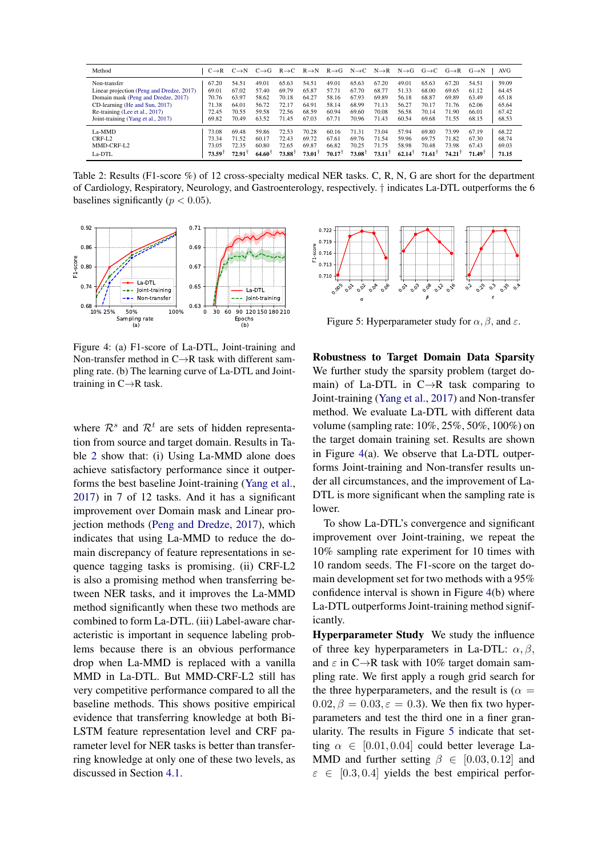| Method                                    | $C \rightarrow R$ | $C \rightarrow N$    | $C \rightarrow G$ | $R \rightarrow C$ | $R \rightarrow N$ | $R \rightarrow G$ | $N \rightarrow C$ |                      | $N \rightarrow R$ $N \rightarrow G$ | $G \rightarrow C$ | $G \rightarrow R$ | $G \rightarrow N$ | <b>AVG</b> |
|-------------------------------------------|-------------------|----------------------|-------------------|-------------------|-------------------|-------------------|-------------------|----------------------|-------------------------------------|-------------------|-------------------|-------------------|------------|
| Non-transfer                              | 67.20             | 54.51                | 49.01             | 65.63             | 54.51             | 49.01             | 65.63             | 67.20                | 49.01                               | 65.63             | 67.20             | 54.51             | 59.09      |
| Linear projection (Peng and Dredze, 2017) | 69.01             | 67.02                | 57.40             | 69.79             | 65.87             | 57.71             | 67.70             | 68.77                | 51.33                               | 68.00             | 69.65             | 61.12             | 64.45      |
| Domain mask (Peng and Dredze, 2017)       | 70.76             | 63.97                | 58.62             | 70.18             | 64.27             | 58.16             | 67.93             | 69.89                | 56.18                               | 68.87             | 69.89             | 63.49             | 65.18      |
| CD-learning (He and Sun, 2017)            | 71.38             | 64.01                | 56.72             | 72.17             | 64.91             | 58.14             | 68.99             | 71.13                | 56.27                               | 70.17             | 71.76             | 62.06             | 65.64      |
| Re-training (Lee et al., 2017)            | 72.45             | 70.55                | 59.58             | 72.56             | 68.59             | 60.94             | 69.60             | 70.08                | 56.58                               | 70.14             | 71.90             | 66.01             | 67.42      |
| Joint-training (Yang et al., 2017)        | 69.82             | 70.49                | 63.52             | 71.45             | 67.03             | 67.71             | 70.96             | 71.43                | 60.54                               | 69.68             | 71.55             | 68.15             | 68.53      |
| La-MMD                                    | 73.08             | 69.48                | 59.86             | 72.53             | 70.28             | 60.16             | 71.31             | 73.04                | 57.94                               | 69.80             | 73.99             | 67.19             | 68.22      |
| $CRF-I.2$                                 | 73.34             | 71.52                | 60.17             | 72.43             | 69.72             | 67.61             | 69.76             | 71.54                | 59.96                               | 69.75             | 71.82             | 67.30             | 68.74      |
| MMD-CRF-L2                                | 73.05             | 72.35                | 60.80             | 72.65             | 69.87             | 66.82             | 70.25             | 71.75                | 58.98                               | 70.48             | 73.98             | 67.43             | 69.03      |
| La-DTL                                    | 73.591            | $72.91$ <sup>1</sup> | 64.60             | 73.88             | 73.01             | $70.17^{\dagger}$ | 73.081            | $73.11$ <sup>T</sup> | 62.14                               | 71.61             | 74.21             | 71.49             | 71.15      |

<span id="page-7-0"></span>Table 2: Results (F1-score %) of 12 cross-specialty medical NER tasks. C, R, N, G are short for the department of Cardiology, Respiratory, Neurology, and Gastroenterology, respectively. † indicates La-DTL outperforms the 6 baselines significantly ( $p < 0.05$ ).



<span id="page-7-1"></span>Figure 4: (a) F1-score of La-DTL, Joint-training and Non-transfer method in  $C \rightarrow R$  task with different sampling rate. (b) The learning curve of La-DTL and Jointtraining in C→R task.

where  $\mathcal{R}^s$  and  $\mathcal{R}^t$  are sets of hidden representation from source and target domain. Results in Table [2](#page-7-0) show that: (i) Using La-MMD alone does achieve satisfactory performance since it outperforms the best baseline Joint-training [\(Yang et al.,](#page-10-7) [2017\)](#page-10-7) in 7 of 12 tasks. And it has a significant improvement over Domain mask and Linear projection methods [\(Peng and Dredze,](#page-10-5) [2017\)](#page-10-5), which indicates that using La-MMD to reduce the domain discrepancy of feature representations in sequence tagging tasks is promising. (ii) CRF-L2 is also a promising method when transferring between NER tasks, and it improves the La-MMD method significantly when these two methods are combined to form La-DTL. (iii) Label-aware characteristic is important in sequence labeling problems because there is an obvious performance drop when La-MMD is replaced with a vanilla MMD in La-DTL. But MMD-CRF-L2 still has very competitive performance compared to all the baseline methods. This shows positive empirical evidence that transferring knowledge at both Bi-LSTM feature representation level and CRF parameter level for NER tasks is better than transferring knowledge at only one of these two levels, as discussed in Section [4.1.](#page-3-3)



<span id="page-7-2"></span>Figure 5: Hyperparameter study for  $\alpha$ ,  $\beta$ , and  $\varepsilon$ .

Robustness to Target Domain Data Sparsity We further study the sparsity problem (target domain) of La-DTL in  $C \rightarrow R$  task comparing to Joint-training [\(Yang et al.,](#page-10-7) [2017\)](#page-10-7) and Non-transfer method. We evaluate La-DTL with different data volume (sampling rate: 10%, 25%, 50%, 100%) on the target domain training set. Results are shown in Figure [4\(](#page-7-1)a). We observe that La-DTL outperforms Joint-training and Non-transfer results under all circumstances, and the improvement of La-DTL is more significant when the sampling rate is lower.

To show La-DTL's convergence and significant improvement over Joint-training, we repeat the 10% sampling rate experiment for 10 times with 10 random seeds. The F1-score on the target domain development set for two methods with a 95% confidence interval is shown in Figure [4\(](#page-7-1)b) where La-DTL outperforms Joint-training method significantly.

Hyperparameter Study We study the influence of three key hyperparameters in La-DTL:  $\alpha$ ,  $\beta$ , and  $\varepsilon$  in C $\rightarrow$ R task with 10% target domain sampling rate. We first apply a rough grid search for the three hyperparameters, and the result is ( $\alpha$  =  $0.02, \beta = 0.03, \epsilon = 0.3$ . We then fix two hyperparameters and test the third one in a finer granularity. The results in Figure [5](#page-7-2) indicate that setting  $\alpha \in [0.01, 0.04]$  could better leverage La-MMD and further setting  $\beta \in [0.03, 0.12]$  and  $\varepsilon \in [0.3, 0.4]$  yields the best empirical perfor-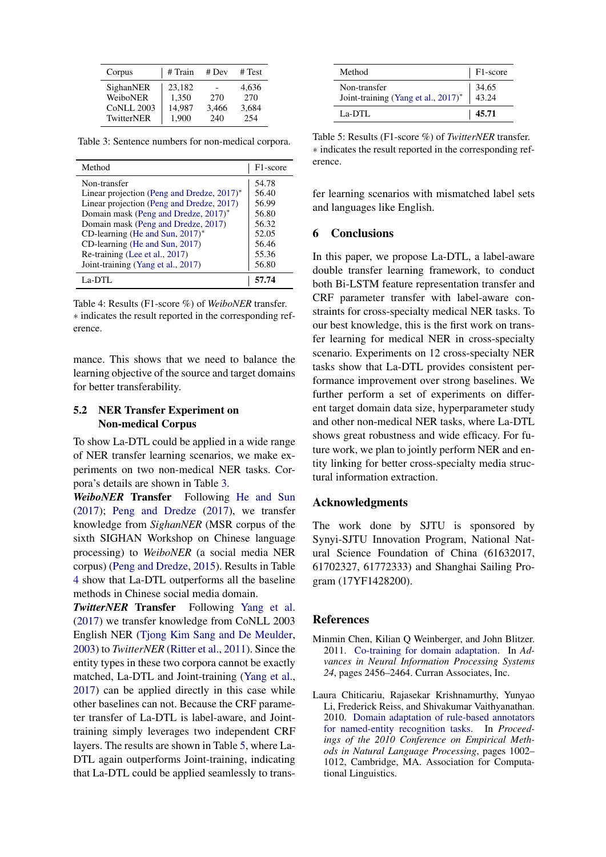| Corpus                                                   | # Train                            | # Dev               | # Test                       |
|----------------------------------------------------------|------------------------------------|---------------------|------------------------------|
| SighanNER<br>WeiboNER<br><b>CoNLL 2003</b><br>TwitterNER | 23.182<br>1.350<br>14.987<br>1.900 | 270<br>3,466<br>240 | 4.636<br>270<br>3,684<br>254 |

<span id="page-8-2"></span>Table 3: Sentence numbers for non-medical corpora.

| Method                                     | F <sub>1</sub> -score |
|--------------------------------------------|-----------------------|
| Non-transfer                               | 54.78                 |
| Linear projection (Peng and Dredze, 2017)* | 56.40                 |
| Linear projection (Peng and Dredze, 2017)  | 56.99                 |
| Domain mask (Peng and Dredze, 2017)*       | 56.80                 |
| Domain mask (Peng and Dredze, 2017)        | 56.32                 |
| CD-learning (He and Sun, $2017$ )*         | 52.05                 |
| CD-learning (He and Sun, 2017)             | 56.46                 |
| Re-training (Lee et al., 2017)             | 55.36                 |
| Joint-training (Yang et al., 2017)         | 56.80                 |
| $La-DTI$ .                                 |                       |

<span id="page-8-3"></span>Table 4: Results (F1-score %) of *WeiboNER* transfer. ∗ indicates the result reported in the corresponding reference.

mance. This shows that we need to balance the learning objective of the source and target domains for better transferability.

## 5.2 NER Transfer Experiment on Non-medical Corpus

To show La-DTL could be applied in a wide range of NER transfer learning scenarios, we make experiments on two non-medical NER tasks. Corpora's details are shown in Table [3.](#page-8-2)

*WeiboNER* Transfer Following [He and Sun](#page-9-14) [\(2017\)](#page-9-14); [Peng and Dredze](#page-10-5) [\(2017\)](#page-10-5), we transfer knowledge from *SighanNER* (MSR corpus of the sixth SIGHAN Workshop on Chinese language processing) to *WeiboNER* (a social media NER corpus) [\(Peng and Dredze,](#page-10-17) [2015\)](#page-10-17). Results in Table [4](#page-8-3) show that La-DTL outperforms all the baseline methods in Chinese social media domain.

*TwitterNER* Transfer Following [Yang et al.](#page-10-7) [\(2017\)](#page-10-7) we transfer knowledge from CoNLL 2003 English NER [\(Tjong Kim Sang and De Meulder,](#page-10-18) [2003\)](#page-10-18) to *TwitterNER* [\(Ritter et al.,](#page-10-19) [2011\)](#page-10-19). Since the entity types in these two corpora cannot be exactly matched, La-DTL and Joint-training [\(Yang et al.,](#page-10-7) [2017\)](#page-10-7) can be applied directly in this case while other baselines can not. Because the CRF parameter transfer of La-DTL is label-aware, and Jointtraining simply leverages two independent CRF layers. The results are shown in Table [5,](#page-8-4) where La-DTL again outperforms Joint-training, indicating that La-DTL could be applied seamlessly to trans-

| Method                                              | F1-score       |
|-----------------------------------------------------|----------------|
| Non-transfer<br>Joint-training (Yang et al., 2017)* | 34.65<br>43.24 |
| La-DTL                                              | 45.71          |

<span id="page-8-4"></span>Table 5: Results (F1-score %) of *TwitterNER* transfer. ∗ indicates the result reported in the corresponding reference.

fer learning scenarios with mismatched label sets and languages like English.

## 6 Conclusions

In this paper, we propose La-DTL, a label-aware double transfer learning framework, to conduct both Bi-LSTM feature representation transfer and CRF parameter transfer with label-aware constraints for cross-specialty medical NER tasks. To our best knowledge, this is the first work on transfer learning for medical NER in cross-specialty scenario. Experiments on 12 cross-specialty NER tasks show that La-DTL provides consistent performance improvement over strong baselines. We further perform a set of experiments on different target domain data size, hyperparameter study and other non-medical NER tasks, where La-DTL shows great robustness and wide efficacy. For future work, we plan to jointly perform NER and entity linking for better cross-specialty media structural information extraction.

## Acknowledgments

The work done by SJTU is sponsored by Synyi-SJTU Innovation Program, National Natural Science Foundation of China (61632017, 61702327, 61772333) and Shanghai Sailing Program (17YF1428200).

#### **References**

- <span id="page-8-0"></span>Minmin Chen, Kilian Q Weinberger, and John Blitzer. 2011. [Co-training for domain adaptation.](http://papers.nips.cc/paper/4433-co-training-for-domain-adaptation.pdf) In *Advances in Neural Information Processing Systems 24*, pages 2456–2464. Curran Associates, Inc.
- <span id="page-8-1"></span>Laura Chiticariu, Rajasekar Krishnamurthy, Yunyao Li, Frederick Reiss, and Shivakumar Vaithyanathan. 2010. [Domain adaptation of rule-based annotators](http://www.aclweb.org/anthology/D10-1098) [for named-entity recognition tasks.](http://www.aclweb.org/anthology/D10-1098) In *Proceedings of the 2010 Conference on Empirical Methods in Natural Language Processing*, pages 1002– 1012, Cambridge, MA. Association for Computational Linguistics.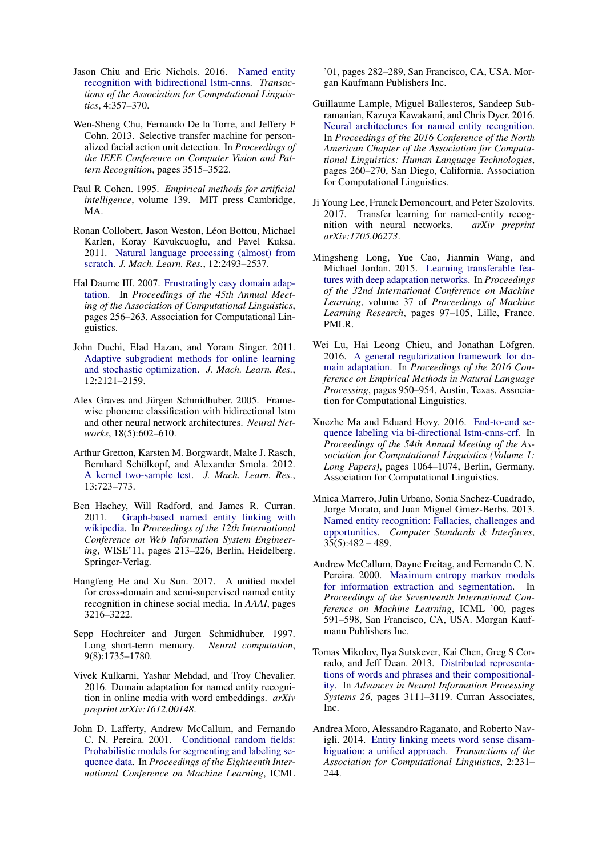- <span id="page-9-11"></span>Jason Chiu and Eric Nichols. 2016. [Named entity](https://transacl.org/ojs/index.php/tacl/article/view/792) [recognition with bidirectional lstm-cnns.](https://transacl.org/ojs/index.php/tacl/article/view/792) *Transactions of the Association for Computational Linguistics*, 4:357–370.
- <span id="page-9-12"></span>Wen-Sheng Chu, Fernando De la Torre, and Jeffery F Cohn. 2013. Selective transfer machine for personalized facial action unit detection. In *Proceedings of the IEEE Conference on Computer Vision and Pattern Recognition*, pages 3515–3522.
- <span id="page-9-21"></span>Paul R Cohen. 1995. *Empirical methods for artificial intelligence*, volume 139. MIT press Cambridge, MA.
- <span id="page-9-10"></span>Ronan Collobert, Jason Weston, Léon Bottou, Michael Karlen, Koray Kavukcuoglu, and Pavel Kuksa. 2011. [Natural language processing \(almost\) from](http://dl.acm.org/citation.cfm?id=1953048.2078186) [scratch.](http://dl.acm.org/citation.cfm?id=1953048.2078186) *J. Mach. Learn. Res.*, 12:2493–2537.
- <span id="page-9-18"></span>Hal Daume III. 2007. [Frustratingly easy domain adap](http://www.aclweb.org/anthology/P07-1033)[tation.](http://www.aclweb.org/anthology/P07-1033) In *Proceedings of the 45th Annual Meeting of the Association of Computational Linguistics*, pages 256–263. Association for Computational Linguistics.
- <span id="page-9-19"></span>John Duchi, Elad Hazan, and Yoram Singer. 2011. [Adaptive subgradient methods for online learning](http://dl.acm.org/citation.cfm?id=1953048.2021068) [and stochastic optimization.](http://dl.acm.org/citation.cfm?id=1953048.2021068) *J. Mach. Learn. Res.*, 12:2121–2159.
- <span id="page-9-3"></span>Alex Graves and Jürgen Schmidhuber. 2005. Framewise phoneme classification with bidirectional lstm and other neural network architectures. *Neural Networks*, 18(5):602–610.
- <span id="page-9-4"></span>Arthur Gretton, Karsten M. Borgwardt, Malte J. Rasch, Bernhard Schölkopf, and Alexander Smola. 2012. [A kernel two-sample test.](http://dl.acm.org/citation.cfm?id=2188385.2188410) *J. Mach. Learn. Res.*, 13:723–773.
- <span id="page-9-7"></span>Ben Hachey, Will Radford, and James R. Curran. 2011. [Graph-based named entity linking with](http://dl.acm.org/citation.cfm?id=2050963.2050980) [wikipedia.](http://dl.acm.org/citation.cfm?id=2050963.2050980) In *Proceedings of the 12th International Conference on Web Information System Engineering*, WISE'11, pages 213–226, Berlin, Heidelberg. Springer-Verlag.
- <span id="page-9-14"></span>Hangfeng He and Xu Sun. 2017. A unified model for cross-domain and semi-supervised named entity recognition in chinese social media. In *AAAI*, pages 3216–3222.
- <span id="page-9-16"></span>Sepp Hochreiter and Jürgen Schmidhuber. 1997. Long short-term memory. *Neural computation*, 9(8):1735–1780.
- <span id="page-9-2"></span>Vivek Kulkarni, Yashar Mehdad, and Troy Chevalier. 2016. Domain adaptation for named entity recognition in online media with word embeddings. *arXiv preprint arXiv:1612.00148*.
- <span id="page-9-8"></span>John D. Lafferty, Andrew McCallum, and Fernando C. N. Pereira. 2001. [Conditional random fields:](http://dl.acm.org/citation.cfm?id=645530.655813) [Probabilistic models for segmenting and labeling se](http://dl.acm.org/citation.cfm?id=645530.655813)[quence data.](http://dl.acm.org/citation.cfm?id=645530.655813) In *Proceedings of the Eighteenth International Conference on Machine Learning*, ICML

'01, pages 282–289, San Francisco, CA, USA. Morgan Kaufmann Publishers Inc.

- <span id="page-9-1"></span>Guillaume Lample, Miguel Ballesteros, Sandeep Subramanian, Kazuya Kawakami, and Chris Dyer. 2016. [Neural architectures for named entity recognition.](http://www.aclweb.org/anthology/N16-1030) In *Proceedings of the 2016 Conference of the North American Chapter of the Association for Computational Linguistics: Human Language Technologies*, pages 260–270, San Diego, California. Association for Computational Linguistics.
- <span id="page-9-15"></span>Ji Young Lee, Franck Dernoncourt, and Peter Szolovits. 2017. Transfer learning for named-entity recognition with neural networks. *arXiv preprint arXiv:1705.06273*.
- <span id="page-9-13"></span>Mingsheng Long, Yue Cao, Jianmin Wang, and Michael Jordan. 2015. [Learning transferable fea](http://proceedings.mlr.press/v37/long15.html)[tures with deep adaptation networks.](http://proceedings.mlr.press/v37/long15.html) In *Proceedings of the 32nd International Conference on Machine Learning*, volume 37 of *Proceedings of Machine Learning Research*, pages 97–105, Lille, France. PMLR.
- <span id="page-9-17"></span>Wei Lu, Hai Leong Chieu, and Jonathan Löfgren. 2016. [A general regularization framework for do](https://aclweb.org/anthology/D16-1095)[main adaptation.](https://aclweb.org/anthology/D16-1095) In *Proceedings of the 2016 Conference on Empirical Methods in Natural Language Processing*, pages 950–954, Austin, Texas. Association for Computational Linguistics.
- <span id="page-9-0"></span>Xuezhe Ma and Eduard Hovy. 2016. [End-to-end se](http://www.aclweb.org/anthology/P16-1101)[quence labeling via bi-directional lstm-cnns-crf.](http://www.aclweb.org/anthology/P16-1101) In *Proceedings of the 54th Annual Meeting of the Association for Computational Linguistics (Volume 1: Long Papers)*, pages 1064–1074, Berlin, Germany. Association for Computational Linguistics.
- <span id="page-9-5"></span>Mnica Marrero, Julin Urbano, Sonia Snchez-Cuadrado, Jorge Morato, and Juan Miguel Gmez-Berbs. 2013. [Named entity recognition: Fallacies, challenges and](https://doi.org/https://doi.org/10.1016/j.csi.2012.09.004) [opportunities.](https://doi.org/https://doi.org/10.1016/j.csi.2012.09.004) *Computer Standards & Interfaces*,  $35(5):482 - 489.$
- <span id="page-9-9"></span>Andrew McCallum, Dayne Freitag, and Fernando C. N. Pereira. 2000. [Maximum entropy markov models](http://dl.acm.org/citation.cfm?id=645529.658277) [for information extraction and segmentation.](http://dl.acm.org/citation.cfm?id=645529.658277) In *Proceedings of the Seventeenth International Conference on Machine Learning*, ICML '00, pages 591–598, San Francisco, CA, USA. Morgan Kaufmann Publishers Inc.
- <span id="page-9-20"></span>Tomas Mikolov, Ilya Sutskever, Kai Chen, Greg S Corrado, and Jeff Dean. 2013. [Distributed representa](http://papers.nips.cc/paper/5021-distributed-representations-of-words-and-phrases-and-their-compositionality.pdf)[tions of words and phrases and their compositional](http://papers.nips.cc/paper/5021-distributed-representations-of-words-and-phrases-and-their-compositionality.pdf)[ity.](http://papers.nips.cc/paper/5021-distributed-representations-of-words-and-phrases-and-their-compositionality.pdf) In *Advances in Neural Information Processing Systems 26*, pages 3111–3119. Curran Associates, Inc.
- <span id="page-9-6"></span>Andrea Moro, Alessandro Raganato, and Roberto Navigli. 2014. [Entity linking meets word sense disam](http://www.aclweb.org/anthology/Q14-1019)[biguation: a unified approach.](http://www.aclweb.org/anthology/Q14-1019) *Transactions of the Association for Computational Linguistics*, 2:231– 244.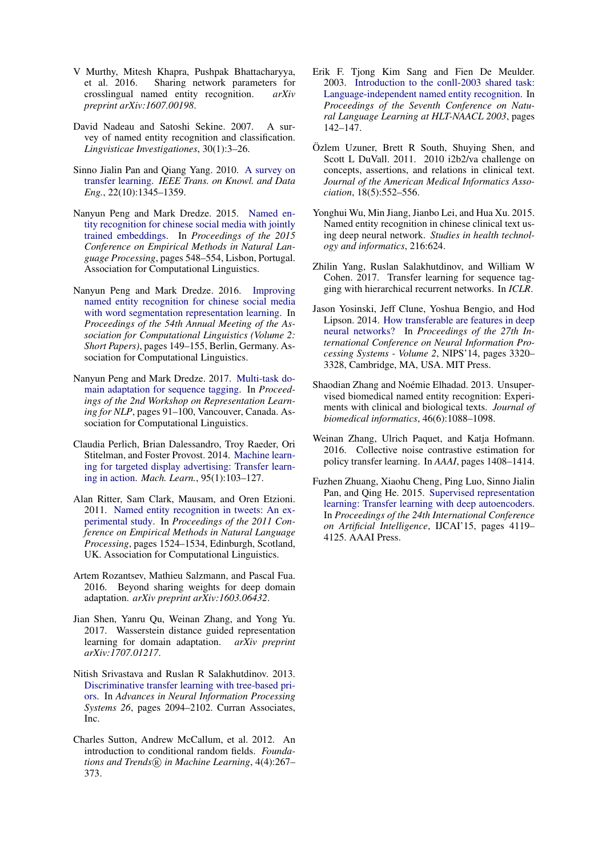- <span id="page-10-6"></span>V Murthy, Mitesh Khapra, Pushpak Bhattacharyya, et al. 2016. Sharing network parameters for crosslingual named entity recognition. *arXiv preprint arXiv:1607.00198*.
- <span id="page-10-2"></span>David Nadeau and Satoshi Sekine. 2007. A survey of named entity recognition and classification. *Lingvisticae Investigationes*, 30(1):3–26.
- <span id="page-10-4"></span>Sinno Jialin Pan and Qiang Yang. 2010. [A survey on](https://doi.org/10.1109/TKDE.2009.191) [transfer learning.](https://doi.org/10.1109/TKDE.2009.191) *IEEE Trans. on Knowl. and Data Eng.*, 22(10):1345–1359.
- <span id="page-10-17"></span>Nanyun Peng and Mark Dredze. 2015. [Named en](http://aclweb.org/anthology/D15-1064)[tity recognition for chinese social media with jointly](http://aclweb.org/anthology/D15-1064) [trained embeddings.](http://aclweb.org/anthology/D15-1064) In *Proceedings of the 2015 Conference on Empirical Methods in Natural Language Processing*, pages 548–554, Lisbon, Portugal. Association for Computational Linguistics.
- <span id="page-10-13"></span>Nanyun Peng and Mark Dredze. 2016. [Improving](http://anthology.aclweb.org/P16-2025) [named entity recognition for chinese social media](http://anthology.aclweb.org/P16-2025) [with word segmentation representation learning.](http://anthology.aclweb.org/P16-2025) In *Proceedings of the 54th Annual Meeting of the Association for Computational Linguistics (Volume 2: Short Papers)*, pages 149–155, Berlin, Germany. Association for Computational Linguistics.
- <span id="page-10-5"></span>Nanyun Peng and Mark Dredze. 2017. [Multi-task do](http://www.aclweb.org/anthology/W17-2612)[main adaptation for sequence tagging.](http://www.aclweb.org/anthology/W17-2612) In *Proceedings of the 2nd Workshop on Representation Learning for NLP*, pages 91–100, Vancouver, Canada. Association for Computational Linguistics.
- <span id="page-10-11"></span>Claudia Perlich, Brian Dalessandro, Troy Raeder, Ori Stitelman, and Foster Provost. 2014. [Machine learn](https://doi.org/10.1007/s10994-013-5375-2)[ing for targeted display advertising: Transfer learn](https://doi.org/10.1007/s10994-013-5375-2)[ing in action.](https://doi.org/10.1007/s10994-013-5375-2) *Mach. Learn.*, 95(1):103–127.
- <span id="page-10-19"></span>Alan Ritter, Sam Clark, Mausam, and Oren Etzioni. 2011. [Named entity recognition in tweets: An ex](http://www.aclweb.org/anthology/D11-1141)[perimental study.](http://www.aclweb.org/anthology/D11-1141) In *Proceedings of the 2011 Conference on Empirical Methods in Natural Language Processing*, pages 1524–1534, Edinburgh, Scotland, UK. Association for Computational Linguistics.
- <span id="page-10-16"></span>Artem Rozantsev, Mathieu Salzmann, and Pascal Fua. 2016. Beyond sharing weights for deep domain adaptation. *arXiv preprint arXiv:1603.06432*.
- <span id="page-10-9"></span>Jian Shen, Yanru Qu, Weinan Zhang, and Yong Yu. 2017. Wasserstein distance guided representation learning for domain adaptation. *arXiv preprint arXiv:1707.01217*.
- <span id="page-10-10"></span>Nitish Srivastava and Ruslan R Salakhutdinov. 2013. [Discriminative transfer learning with tree-based pri](http://papers.nips.cc/paper/5029-discriminative-transfer-learning-with-tree-based-priors.pdf)[ors.](http://papers.nips.cc/paper/5029-discriminative-transfer-learning-with-tree-based-priors.pdf) In *Advances in Neural Information Processing Systems 26*, pages 2094–2102. Curran Associates, Inc.
- <span id="page-10-14"></span>Charles Sutton, Andrew McCallum, et al. 2012. An introduction to conditional random fields. *Foundations and Trends* $(R)$  *in Machine Learning*, 4(4):267– 373.
- <span id="page-10-18"></span>Erik F. Tjong Kim Sang and Fien De Meulder. 2003. [Introduction to the conll-2003 shared task:](http://www.aclweb.org/anthology/W03-0419.pdf) [Language-independent named entity recognition.](http://www.aclweb.org/anthology/W03-0419.pdf) In *Proceedings of the Seventh Conference on Natural Language Learning at HLT-NAACL 2003*, pages 142–147.
- <span id="page-10-3"></span>Ozlem Uzuner, Brett R South, Shuying Shen, and ¨ Scott L DuVall. 2011. 2010 i2b2/va challenge on concepts, assertions, and relations in clinical text. *Journal of the American Medical Informatics Association*, 18(5):552–556.
- <span id="page-10-0"></span>Yonghui Wu, Min Jiang, Jianbo Lei, and Hua Xu. 2015. Named entity recognition in chinese clinical text using deep neural network. *Studies in health technology and informatics*, 216:624.
- <span id="page-10-7"></span>Zhilin Yang, Ruslan Salakhutdinov, and William W Cohen. 2017. Transfer learning for sequence tagging with hierarchical recurrent networks. In *ICLR*.
- <span id="page-10-15"></span>Jason Yosinski, Jeff Clune, Yoshua Bengio, and Hod Lipson. 2014. [How transferable are features in deep](http://dl.acm.org/citation.cfm?id=2969033.2969197) [neural networks?](http://dl.acm.org/citation.cfm?id=2969033.2969197) In *Proceedings of the 27th International Conference on Neural Information Processing Systems - Volume 2*, NIPS'14, pages 3320– 3328, Cambridge, MA, USA. MIT Press.
- <span id="page-10-1"></span>Shaodian Zhang and Noémie Elhadad. 2013. Unsupervised biomedical named entity recognition: Experiments with clinical and biological texts. *Journal of biomedical informatics*, 46(6):1088–1098.
- <span id="page-10-12"></span>Weinan Zhang, Ulrich Paquet, and Katja Hofmann. 2016. Collective noise contrastive estimation for policy transfer learning. In *AAAI*, pages 1408–1414.
- <span id="page-10-8"></span>Fuzhen Zhuang, Xiaohu Cheng, Ping Luo, Sinno Jialin Pan, and Qing He. 2015. [Supervised representation](http://dl.acm.org/citation.cfm?id=2832747.2832823) [learning: Transfer learning with deep autoencoders.](http://dl.acm.org/citation.cfm?id=2832747.2832823) In *Proceedings of the 24th International Conference on Artificial Intelligence*, IJCAI'15, pages 4119– 4125. AAAI Press.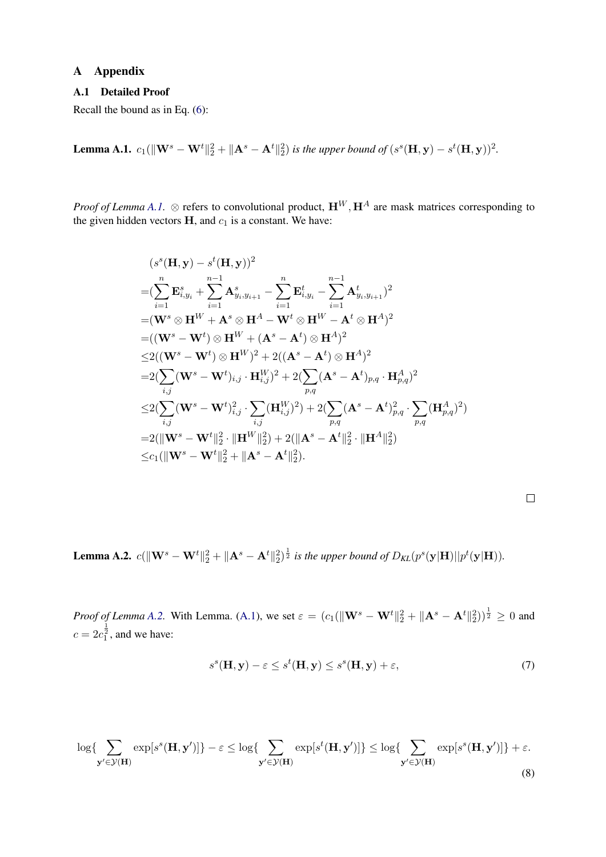## A Appendix

## <span id="page-11-0"></span>A.1 Detailed Proof

Recall the bound as in Eq. [\(6\)](#page-5-3):

<span id="page-11-1"></span>**Lemma A.1.**  $c_1(||\mathbf{W}^s - \mathbf{W}^t||_2^2 + ||\mathbf{A}^s - \mathbf{A}^t||_2^2)$  is the upper bound of  $(s^s(\mathbf{H}, \mathbf{y}) - s^t(\mathbf{H}, \mathbf{y}))^2$ .

*Proof of Lemma [A.1.](#page-11-1)* ⊗ refers to convolutional product,  $\mathbf{H}^W$ ,  $\mathbf{H}^A$  are mask matrices corresponding to the given hidden vectors  $H$ , and  $c_1$  is a constant. We have:

$$
(s^{s}(\mathbf{H}, \mathbf{y}) - s^{t}(\mathbf{H}, \mathbf{y}))^{2}
$$
\n
$$
= (\sum_{i=1}^{n} \mathbf{E}_{i,y_{i}}^{s} + \sum_{i=1}^{n-1} \mathbf{A}_{y_{i},y_{i+1}}^{s} - \sum_{i=1}^{n} \mathbf{E}_{i,y_{i}}^{t} - \sum_{i=1}^{n-1} \mathbf{A}_{y_{i},y_{i+1}}^{t})^{2}
$$
\n
$$
= (\mathbf{W}^{s} \otimes \mathbf{H}^{W} + \mathbf{A}^{s} \otimes \mathbf{H}^{A} - \mathbf{W}^{t} \otimes \mathbf{H}^{W} - \mathbf{A}^{t} \otimes \mathbf{H}^{A})^{2}
$$
\n
$$
= ((\mathbf{W}^{s} - \mathbf{W}^{t}) \otimes \mathbf{H}^{W} + (\mathbf{A}^{s} - \mathbf{A}^{t}) \otimes \mathbf{H}^{A})^{2}
$$
\n
$$
\leq 2((\mathbf{W}^{s} - \mathbf{W}^{t}) \otimes \mathbf{H}^{W})^{2} + 2((\mathbf{A}^{s} - \mathbf{A}^{t}) \otimes \mathbf{H}^{A})^{2}
$$
\n
$$
= 2(\sum_{i,j} (\mathbf{W}^{s} - \mathbf{W}^{t})_{i,j} \cdot \mathbf{H}_{i,j}^{W})^{2} + 2(\sum_{p,q} (\mathbf{A}^{s} - \mathbf{A}^{t})_{p,q} \cdot \mathbf{H}_{p,q}^{A})^{2}
$$
\n
$$
\leq 2(\sum_{i,j} (\mathbf{W}^{s} - \mathbf{W}^{t})_{i,j}^{2} \cdot \sum_{i,j} (\mathbf{H}_{i,j}^{W})^{2}) + 2(\sum_{p,q} (\mathbf{A}^{s} - \mathbf{A}^{t})_{p,q}^{2} \cdot \sum_{p,q} (\mathbf{H}_{p,q}^{A})^{2})
$$
\n
$$
= 2(||\mathbf{W}^{s} - \mathbf{W}^{t}||_{2}^{2} \cdot ||\mathbf{H}^{W}||_{2}^{2}) + 2(||\mathbf{A}^{s} - \mathbf{A}^{t}||_{2}^{2} \cdot ||\mathbf{H}^{A}
$$

<span id="page-11-2"></span>**Lemma A.2.**  $c(\|\mathbf{W}^s - \mathbf{W}^t\|_2^2 + \|\mathbf{A}^s - \mathbf{A}^t\|_2^2)^{\frac{1}{2}}$  is the upper bound of  $D_{KL}(p^s(\mathbf{y}|\mathbf{H})||p^t(\mathbf{y}|\mathbf{H}))$ .

*Proof of Lemma [A.2.](#page-11-2)* With Lemma. [\(A.1\)](#page-11-1), we set  $\varepsilon = (c_1(\|\mathbf{W}^s - \mathbf{W}^t\|_2^2 + \|\mathbf{A}^s - \mathbf{A}^t\|_2^2))^{\frac{1}{2}} \ge 0$  and  $c = 2c_1^{\frac{1}{2}}$ , and we have:

<span id="page-11-3"></span>
$$
s^{s}(\mathbf{H}, \mathbf{y}) - \varepsilon \leq s^{t}(\mathbf{H}, \mathbf{y}) \leq s^{s}(\mathbf{H}, \mathbf{y}) + \varepsilon,
$$
\n<sup>(7)</sup>

<span id="page-11-4"></span>
$$
\log\{\sum_{\mathbf{y}'\in\mathcal{Y}(\mathbf{H})}\exp[s^s(\mathbf{H}, \mathbf{y}')]\} - \varepsilon \le \log\{\sum_{\mathbf{y}'\in\mathcal{Y}(\mathbf{H})}\exp[s^t(\mathbf{H}, \mathbf{y}')]\} \le \log\{\sum_{\mathbf{y}'\in\mathcal{Y}(\mathbf{H})}\exp[s^s(\mathbf{H}, \mathbf{y}')]\} + \varepsilon.
$$
\n(8)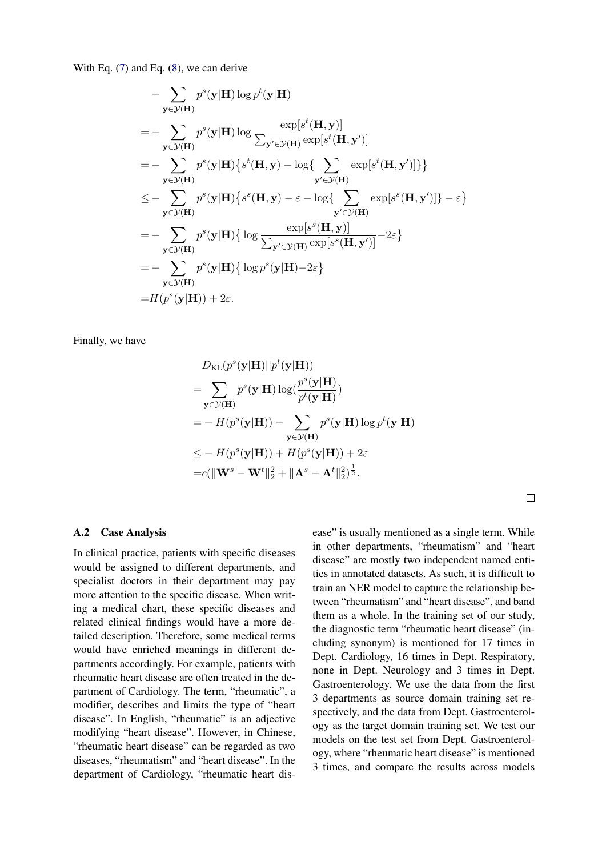With Eq. [\(7\)](#page-11-3) and Eq. [\(8\)](#page-11-4), we can derive

$$
- \sum_{\mathbf{y} \in \mathcal{Y}(\mathbf{H})} p^{s}(\mathbf{y}|\mathbf{H}) \log p^{t}(\mathbf{y}|\mathbf{H})
$$
  
\n
$$
= - \sum_{\mathbf{y} \in \mathcal{Y}(\mathbf{H})} p^{s}(\mathbf{y}|\mathbf{H}) \log \frac{\exp[s^{t}(\mathbf{H}, \mathbf{y})]}{\sum_{\mathbf{y}' \in \mathcal{Y}(\mathbf{H})} \exp[s^{t}(\mathbf{H}, \mathbf{y}')]}\n= - \sum_{\mathbf{y} \in \mathcal{Y}(\mathbf{H})} p^{s}(\mathbf{y}|\mathbf{H}) \{s^{t}(\mathbf{H}, \mathbf{y}) - \log\left\{\sum_{\mathbf{y}' \in \mathcal{Y}(\mathbf{H})} \exp[s^{t}(\mathbf{H}, \mathbf{y}')] \}\right\}
$$
  
\n
$$
\leq - \sum_{\mathbf{y} \in \mathcal{Y}(\mathbf{H})} p^{s}(\mathbf{y}|\mathbf{H}) \{s^{s}(\mathbf{H}, \mathbf{y}) - \varepsilon - \log\left\{\sum_{\mathbf{y}' \in \mathcal{Y}(\mathbf{H})} \exp[s^{s}(\mathbf{H}, \mathbf{y')]}\right\} - \varepsilon\}
$$
  
\n
$$
= - \sum_{\mathbf{y} \in \mathcal{Y}(\mathbf{H})} p^{s}(\mathbf{y}|\mathbf{H}) \{ \log \frac{\exp[s^{s}(\mathbf{H}, \mathbf{y})]}{\sum_{\mathbf{y}' \in \mathcal{Y}(\mathbf{H})} \exp[s^{s}(\mathbf{H}, \mathbf{y')]}} - 2\varepsilon\}
$$
  
\n
$$
= - \sum_{\mathbf{y} \in \mathcal{Y}(\mathbf{H})} p^{s}(\mathbf{y}|\mathbf{H}) \{ \log p^{s}(\mathbf{y}|\mathbf{H}) - 2\varepsilon\}
$$
  
\n
$$
= H(p^{s}(\mathbf{y}|\mathbf{H})) + 2\varepsilon.
$$

Finally, we have

$$
D_{\text{KL}}(p^s(\mathbf{y}|\mathbf{H})||p^t(\mathbf{y}|\mathbf{H}))
$$
  
= 
$$
\sum_{\mathbf{y} \in \mathcal{Y}(\mathbf{H})} p^s(\mathbf{y}|\mathbf{H}) \log(\frac{p^s(\mathbf{y}|\mathbf{H})}{p^t(\mathbf{y}|\mathbf{H})})
$$
  
= 
$$
- H(p^s(\mathbf{y}|\mathbf{H})) - \sum_{\mathbf{y} \in \mathcal{Y}(\mathbf{H})} p^s(\mathbf{y}|\mathbf{H}) \log p^t(\mathbf{y}|\mathbf{H})
$$
  

$$
\leq - H(p^s(\mathbf{y}|\mathbf{H})) + H(p^s(\mathbf{y}|\mathbf{H})) + 2\varepsilon
$$
  
= 
$$
c(||\mathbf{W}^s - \mathbf{W}^t||_2^2 + ||\mathbf{A}^s - \mathbf{A}^t||_2^2)^{\frac{1}{2}}.
$$

#### A.2 Case Analysis

In clinical practice, patients with specific diseases would be assigned to different departments, and specialist doctors in their department may pay more attention to the specific disease. When writing a medical chart, these specific diseases and related clinical findings would have a more detailed description. Therefore, some medical terms would have enriched meanings in different departments accordingly. For example, patients with rheumatic heart disease are often treated in the department of Cardiology. The term, "rheumatic", a modifier, describes and limits the type of "heart disease". In English, "rheumatic" is an adjective modifying "heart disease". However, in Chinese, "rheumatic heart disease" can be regarded as two diseases, "rheumatism" and "heart disease". In the department of Cardiology, "rheumatic heart disease" is usually mentioned as a single term. While in other departments, "rheumatism" and "heart disease" are mostly two independent named entities in annotated datasets. As such, it is difficult to train an NER model to capture the relationship between "rheumatism" and "heart disease", and band them as a whole. In the training set of our study, the diagnostic term "rheumatic heart disease" (including synonym) is mentioned for 17 times in Dept. Cardiology, 16 times in Dept. Respiratory, none in Dept. Neurology and 3 times in Dept. Gastroenterology. We use the data from the first 3 departments as source domain training set respectively, and the data from Dept. Gastroenterology as the target domain training set. We test our models on the test set from Dept. Gastroenterology, where "rheumatic heart disease" is mentioned 3 times, and compare the results across models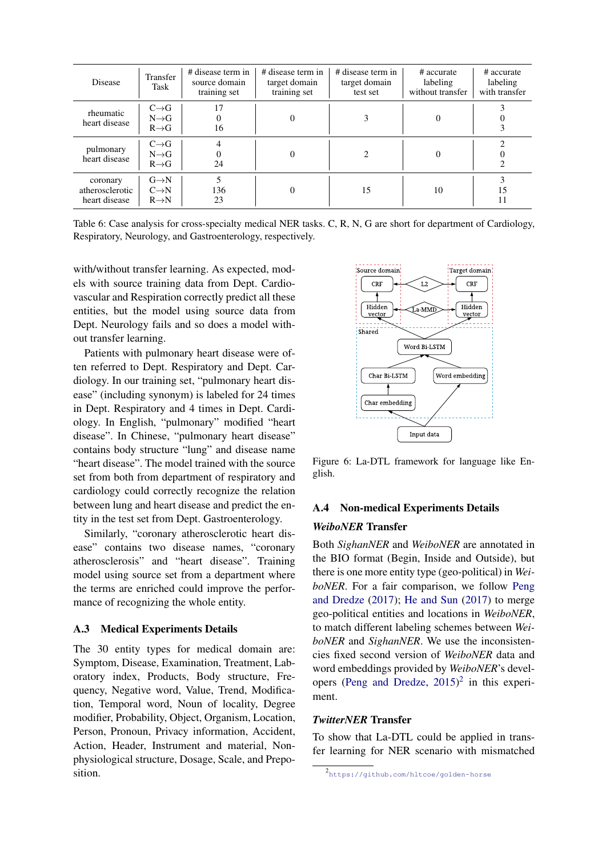| <b>Disease</b>                               | Transfer<br>Task                                            | # disease term in<br>source domain<br>training set | # disease term in<br>target domain<br>training set | # disease term in<br>target domain<br>test set | # accurate<br>labeling<br>without transfer | # accurate<br>labeling<br>with transfer |
|----------------------------------------------|-------------------------------------------------------------|----------------------------------------------------|----------------------------------------------------|------------------------------------------------|--------------------------------------------|-----------------------------------------|
| rheumatic<br>heart disease                   | $C \rightarrow G$<br>$N \rightarrow G$<br>$R \rightarrow G$ | 17<br>16                                           | 0                                                  | 3                                              | 0                                          |                                         |
| pulmonary<br>heart disease                   | $C \rightarrow G$<br>$N \rightarrow G$<br>$R \rightarrow G$ | 24                                                 | 0                                                  | $\mathcal{D}_{\mathcal{L}}$                    |                                            |                                         |
| coronary<br>atherosclerotic<br>heart disease | $G \rightarrow N$<br>$C \rightarrow N$<br>$R \rightarrow N$ | 136<br>23                                          | $_{0}$                                             | 15                                             | 10                                         | 15<br>11                                |

Table 6: Case analysis for cross-specialty medical NER tasks. C, R, N, G are short for department of Cardiology, Respiratory, Neurology, and Gastroenterology, respectively.

with/without transfer learning. As expected, models with source training data from Dept. Cardiovascular and Respiration correctly predict all these entities, but the model using source data from Dept. Neurology fails and so does a model without transfer learning.

Patients with pulmonary heart disease were often referred to Dept. Respiratory and Dept. Cardiology. In our training set, "pulmonary heart disease" (including synonym) is labeled for 24 times in Dept. Respiratory and 4 times in Dept. Cardiology. In English, "pulmonary" modified "heart disease". In Chinese, "pulmonary heart disease" contains body structure "lung" and disease name "heart disease". The model trained with the source set from both from department of respiratory and cardiology could correctly recognize the relation between lung and heart disease and predict the entity in the test set from Dept. Gastroenterology.

Similarly, "coronary atherosclerotic heart disease" contains two disease names, "coronary atherosclerosis" and "heart disease". Training model using source set from a department where the terms are enriched could improve the performance of recognizing the whole entity.

## A.3 Medical Experiments Details

The 30 entity types for medical domain are: Symptom, Disease, Examination, Treatment, Laboratory index, Products, Body structure, Frequency, Negative word, Value, Trend, Modification, Temporal word, Noun of locality, Degree modifier, Probability, Object, Organism, Location, Person, Pronoun, Privacy information, Accident, Action, Header, Instrument and material, Nonphysiological structure, Dosage, Scale, and Preposition.



<span id="page-13-1"></span>Figure 6: La-DTL framework for language like English.

# A.4 Non-medical Experiments Details

#### *WeiboNER* Transfer

Both *SighanNER* and *WeiboNER* are annotated in the BIO format (Begin, Inside and Outside), but there is one more entity type (geo-political) in *WeiboNER*. For a fair comparison, we follow [Peng](#page-10-5) [and Dredze](#page-10-5) [\(2017\)](#page-10-5); [He and Sun](#page-9-14) [\(2017\)](#page-9-14) to merge geo-political entities and locations in *WeiboNER*, to match different labeling schemes between *WeiboNER* and *SighanNER*. We use the inconsistencies fixed second version of *WeiboNER* data and word embeddings provided by *WeiboNER*'s developers [\(Peng and Dredze,](#page-10-17) [2015\)](#page-10-17) [2](#page-13-0) in this experiment.

## *TwitterNER* Transfer

To show that La-DTL could be applied in transfer learning for NER scenario with mismatched

<span id="page-13-0"></span><sup>2</sup> <https://github.com/hltcoe/golden-horse>